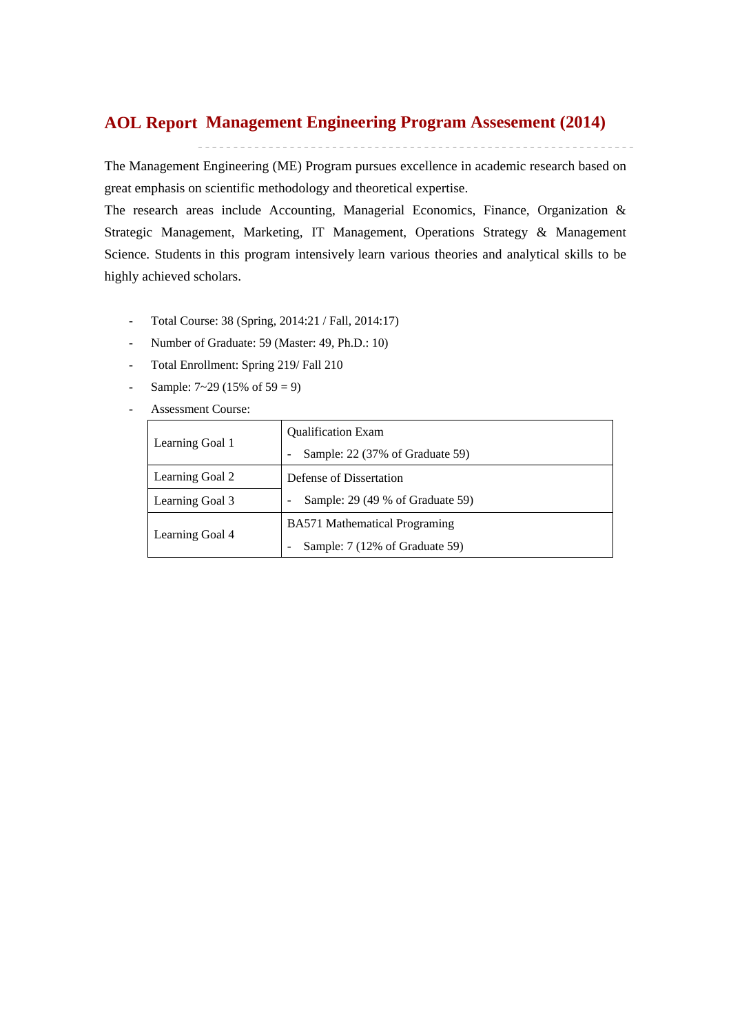## **Management Engineering Program Assesement (2014) AOL Report**

The Management Engineering (ME) Program pursues excellence in academic research based on great emphasis on scientific methodology and theoretical expertise.

The research areas include Accounting, Managerial Economics, Finance, Organization & Strategic Management, Marketing, IT Management, Operations Strategy & Management Science. Students in this program intensively learn various theories and analytical skills to be highly achieved scholars.

- Total Course: 38 (Spring, 2014:21 / Fall, 2014:17)
- Number of Graduate: 59 (Master: 49, Ph.D.: 10)
- Total Enrollment: Spring 219/ Fall 210
- Sample:  $7 \sim 29 (15\% \text{ of } 59 = 9)$
- Assessment Course:

|                 | <b>Qualification Exam</b>            |  |  |  |  |  |
|-----------------|--------------------------------------|--|--|--|--|--|
| Learning Goal 1 | Sample: 22 (37% of Graduate 59)      |  |  |  |  |  |
| Learning Goal 2 | Defense of Dissertation              |  |  |  |  |  |
| Learning Goal 3 | Sample: 29 (49 % of Graduate 59)     |  |  |  |  |  |
|                 | <b>BA571</b> Mathematical Programing |  |  |  |  |  |
| Learning Goal 4 | Sample: 7 (12% of Graduate 59)       |  |  |  |  |  |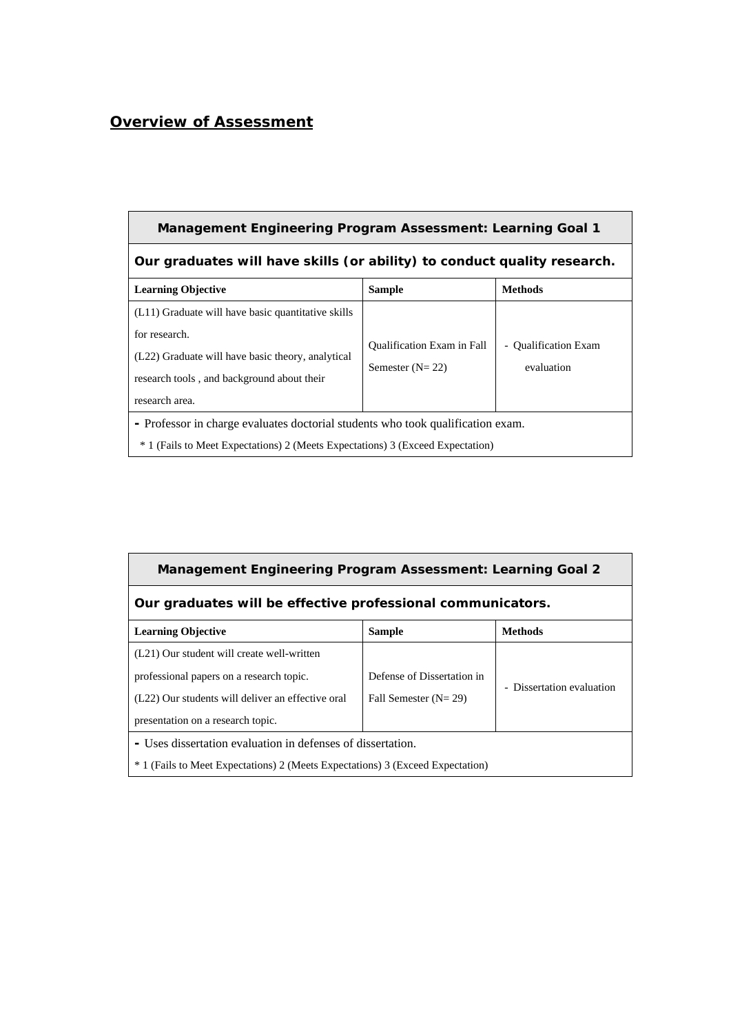# *Overview of Assessment*

| <b>Management Engineering Program Assessment: Learning Goal 1</b>                                                                                                                        |                                                        |                                    |  |  |  |  |  |  |  |  |
|------------------------------------------------------------------------------------------------------------------------------------------------------------------------------------------|--------------------------------------------------------|------------------------------------|--|--|--|--|--|--|--|--|
| Our graduates will have skills (or ability) to conduct quality research.                                                                                                                 |                                                        |                                    |  |  |  |  |  |  |  |  |
| <b>Learning Objective</b>                                                                                                                                                                | <b>Sample</b>                                          | <b>Methods</b>                     |  |  |  |  |  |  |  |  |
| (L11) Graduate will have basic quantitative skills<br>for research.<br>(L22) Graduate will have basic theory, analytical<br>research tools, and background about their<br>research area. | <b>Qualification Exam in Fall</b><br>Semester $(N=22)$ | - Qualification Exam<br>evaluation |  |  |  |  |  |  |  |  |
| - Professor in charge evaluates doctorial students who took qualification exam.<br>* 1 (Fails to Meet Expectations) 2 (Meets Expectations) 3 (Exceed Expectation)                        |                                                        |                                    |  |  |  |  |  |  |  |  |

| <b>Management Engineering Program Assessment: Learning Goal 2</b> |                            |                           |  |  |  |  |  |  |  |  |
|-------------------------------------------------------------------|----------------------------|---------------------------|--|--|--|--|--|--|--|--|
| Our graduates will be effective professional communicators.       |                            |                           |  |  |  |  |  |  |  |  |
| <b>Learning Objective</b>                                         | <b>Sample</b>              | <b>Methods</b>            |  |  |  |  |  |  |  |  |
| (L21) Our student will create well-written                        |                            |                           |  |  |  |  |  |  |  |  |
| professional papers on a research topic.                          | Defense of Dissertation in |                           |  |  |  |  |  |  |  |  |
| (L22) Our students will deliver an effective oral                 | Fall Semester $(N=29)$     | - Dissertation evaluation |  |  |  |  |  |  |  |  |
| presentation on a research topic.                                 |                            |                           |  |  |  |  |  |  |  |  |
| - Uses dissertation evaluation in defenses of dissertation.       |                            |                           |  |  |  |  |  |  |  |  |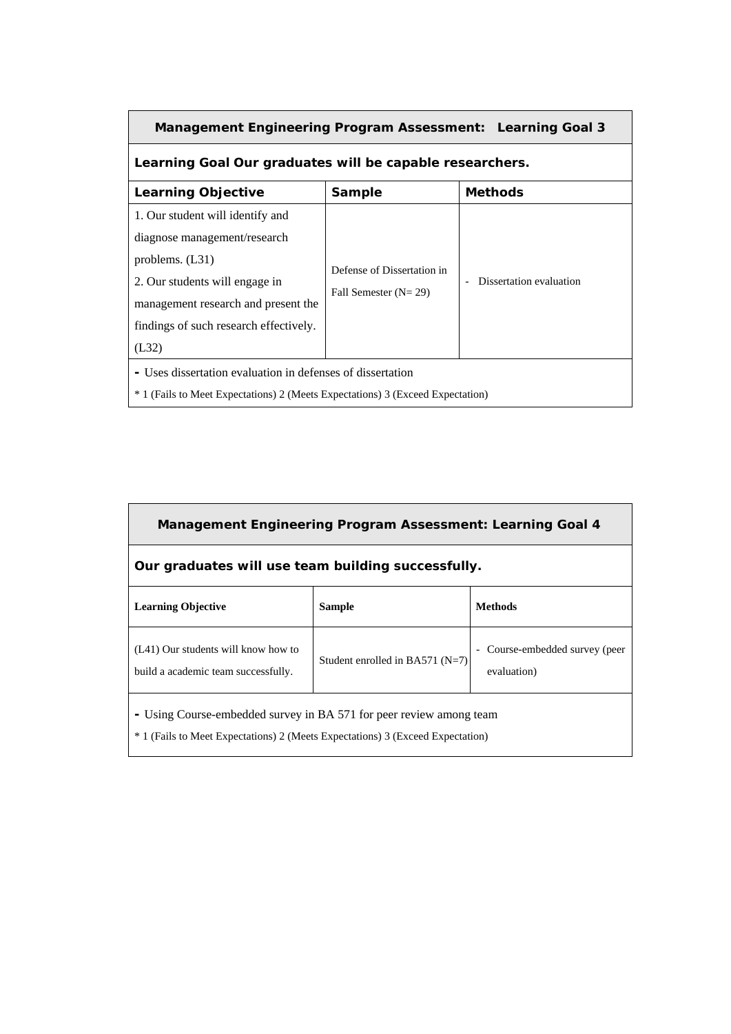| Management Engineering Program Assessment: Learning Goal 3                                                                                                                                                        |                                                      |                         |  |  |  |  |  |  |  |
|-------------------------------------------------------------------------------------------------------------------------------------------------------------------------------------------------------------------|------------------------------------------------------|-------------------------|--|--|--|--|--|--|--|
| Learning Goal Our graduates will be capable researchers.                                                                                                                                                          |                                                      |                         |  |  |  |  |  |  |  |
| <b>Methods</b><br><b>Learning Objective</b><br>Sample                                                                                                                                                             |                                                      |                         |  |  |  |  |  |  |  |
| 1. Our student will identify and<br>diagnose management/research<br>problems. $(L31)$<br>2. Our students will engage in<br>management research and present the<br>findings of such research effectively.<br>(L32) | Defense of Dissertation in<br>Fall Semester $(N=29)$ | Dissertation evaluation |  |  |  |  |  |  |  |
| - Uses dissertation evaluation in defenses of dissertation<br><sup>*</sup> 1 (Fails to Meet Expectations) 2 (Meets Expectations) 3 (Exceed Expectation)                                                           |                                                      |                         |  |  |  |  |  |  |  |

| Management Engineering Program Assessment: Learning Goal 4                                                                                                       |                                     |                                               |  |  |  |  |  |  |  |  |
|------------------------------------------------------------------------------------------------------------------------------------------------------------------|-------------------------------------|-----------------------------------------------|--|--|--|--|--|--|--|--|
| Our graduates will use team building successfully.                                                                                                               |                                     |                                               |  |  |  |  |  |  |  |  |
| <b>Learning Objective</b>                                                                                                                                        | <b>Sample</b>                       | <b>Methods</b>                                |  |  |  |  |  |  |  |  |
| (L41) Our students will know how to<br>build a academic team successfully.                                                                                       | Student enrolled in BA571 ( $N=7$ ) | - Course-embedded survey (peer<br>evaluation) |  |  |  |  |  |  |  |  |
| - Using Course-embedded survey in BA 571 for peer review among team<br><sup>*</sup> 1 (Fails to Meet Expectations) 2 (Meets Expectations) 3 (Exceed Expectation) |                                     |                                               |  |  |  |  |  |  |  |  |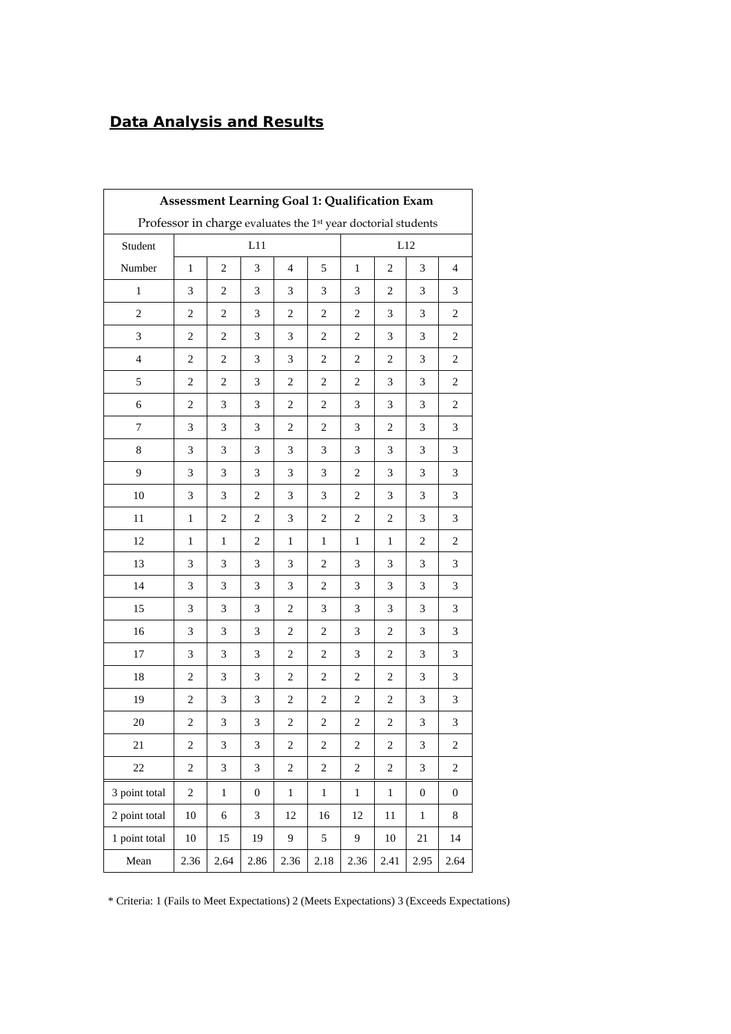# *Data Analysis and Results*

| Assessment Learning Goal 1: Qualification Exam                |                |                |                             |                             |                |                  |                |                             |                  |  |
|---------------------------------------------------------------|----------------|----------------|-----------------------------|-----------------------------|----------------|------------------|----------------|-----------------------------|------------------|--|
| Professor in charge evaluates the 1st year doctorial students |                |                |                             |                             |                |                  |                |                             |                  |  |
| Student                                                       | L11<br>L12     |                |                             |                             |                |                  |                |                             |                  |  |
| Number                                                        | $\,1$          | $\mathbf{2}$   | 3                           | $\overline{4}$              | 5              | $\mathbf{1}$     | $\overline{c}$ | 3                           | $\overline{4}$   |  |
| $\mathbf{1}$                                                  | 3              | $\overline{2}$ | 3                           | 3                           | 3              | 3                | 2              | 3                           | 3                |  |
| $\mathfrak{2}$                                                | 2              | $\overline{2}$ | 3                           | $\overline{2}$              | $\overline{c}$ | $\overline{c}$   | 3              | 3                           | 2                |  |
| 3                                                             | 2              | $\overline{c}$ | 3                           | 3                           | $\overline{c}$ | $\overline{c}$   | 3              | 3                           | 2                |  |
| $\overline{4}$                                                | 2              | $\overline{c}$ | 3                           | 3                           | $\overline{c}$ | $\overline{c}$   | $\overline{c}$ | 3                           | $\overline{c}$   |  |
| 5                                                             | 2              | $\overline{c}$ | 3                           | $\overline{c}$              | $\overline{c}$ | $\overline{c}$   | 3              | 3                           | 2                |  |
| 6                                                             | 2              | 3              | 3                           | $\overline{2}$              | $\overline{c}$ | 3                | 3              | 3                           | $\overline{c}$   |  |
| 7                                                             | 3              | 3              | 3                           | $\overline{2}$              | 2              | 3                | $\overline{c}$ | 3                           | 3                |  |
| 8                                                             | 3              | 3              | 3                           | 3                           | 3              | 3                | 3              | 3                           | 3                |  |
| 9                                                             | 3              | 3              | 3                           | 3                           | 3              | $\overline{c}$   | 3              | 3                           | 3                |  |
| 10                                                            | 3              | 3              | $\overline{c}$              | 3                           | 3              | $\overline{c}$   | 3              | 3                           | 3                |  |
| 11                                                            | $\mathbf{1}$   | $\overline{c}$ | $\overline{c}$              | $\ensuremath{\mathfrak{Z}}$ | $\overline{c}$ | $\overline{c}$   | $\sqrt{2}$     | 3                           | 3                |  |
| 12                                                            | 1              | $\mathbf{1}$   | $\overline{2}$              | $\mathbf{1}$                | 1              | $\mathbf{1}$     | $\mathbf{1}$   | 2                           | 2                |  |
| 13                                                            | 3              | 3              | 3                           | 3                           | 2              | 3                | 3              | 3                           | 3                |  |
| 14                                                            | 3              | 3              | 3                           | 3                           | $\mathbf{2}$   | 3                | 3              | 3                           | 3                |  |
| 15                                                            | 3              | 3              | 3                           | $\overline{2}$              | 3              | 3                | 3              | 3                           | 3                |  |
| 16                                                            | 3              | 3              | 3                           | $\overline{2}$              | $\overline{c}$ | 3                | $\overline{c}$ | 3                           | 3                |  |
| 17                                                            | 3              | 3              | 3                           | $\overline{c}$              | $\overline{c}$ | 3                | $\overline{c}$ | 3                           | 3                |  |
| 18                                                            | 2              | 3              | 3                           | $\overline{2}$              | $\overline{c}$ | $\overline{c}$   | $\overline{c}$ | 3                           | 3                |  |
| 19                                                            | 2              | 3              | 3                           | $\overline{2}$              | 2              | $\overline{c}$   | $\overline{c}$ | 3                           | 3                |  |
| 20                                                            | $\overline{c}$ | $\mathfrak{Z}$ | $\ensuremath{\mathfrak{Z}}$ | $\sqrt{2}$                  | $\sqrt{2}$     | $\sqrt{2}$       | $\sqrt{2}$     | $\ensuremath{\mathfrak{Z}}$ | 3                |  |
| 21                                                            | 2              | $\mathfrak{Z}$ | 3                           | $\overline{c}$              | $\sqrt{2}$     | $\boldsymbol{2}$ | $\overline{c}$ | $\ensuremath{\mathfrak{Z}}$ | $\overline{2}$   |  |
| 22                                                            | $\overline{c}$ | 3              | 3                           | $\overline{c}$              | $\overline{c}$ | $\overline{c}$   | $\sqrt{2}$     | $\mathfrak{Z}$              | $\overline{c}$   |  |
| 3 point total                                                 | $\overline{c}$ | $\,1$          | $\boldsymbol{0}$            | $\mathbf{1}$                | $\mathbf{1}$   | $\mathbf{1}$     | $\mathbf{1}$   | $\boldsymbol{0}$            | $\boldsymbol{0}$ |  |
| 2 point total                                                 | 10             | 6              | 3                           | 12                          | 16             | 12               | 11             | $\mathbf{1}$                | $8\,$            |  |
| 1 point total                                                 | $10\,$         | 15             | 19                          | 9                           | 5              | 9                | 10             | 21                          | 14               |  |
| Mean                                                          | 2.36           | 2.64           | 2.86                        | 2.36                        | 2.18           | 2.36             | 2.41           | 2.95                        | 2.64             |  |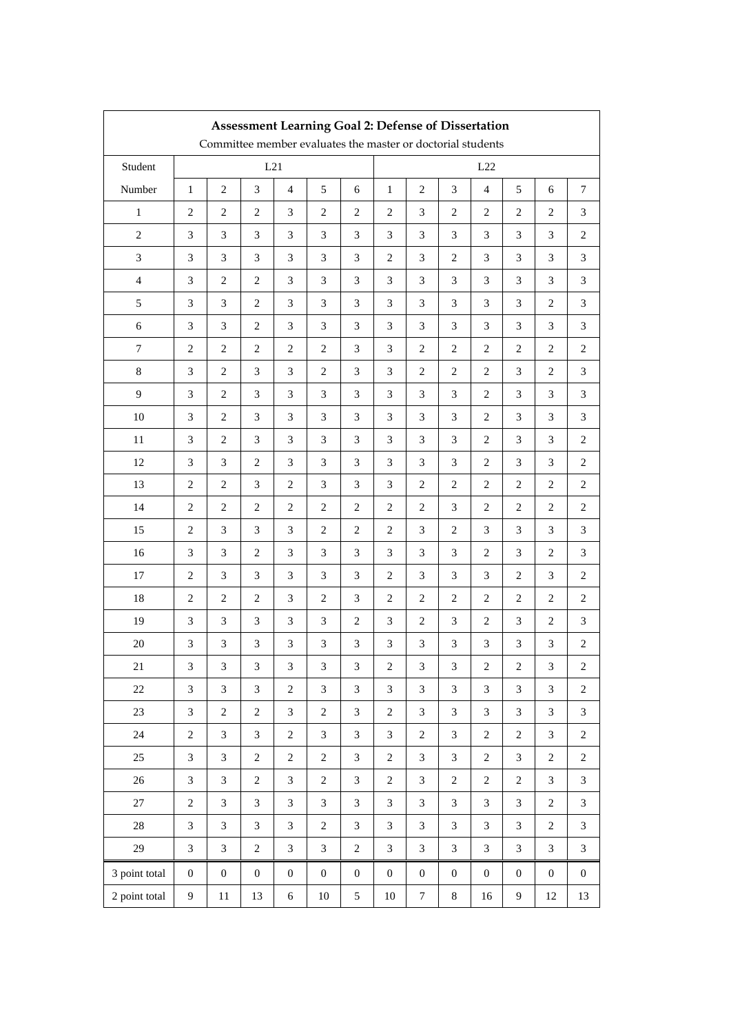|                  | <b>Assessment Learning Goal 2: Defense of Dissertation</b><br>Committee member evaluates the master or doctorial students |                             |                  |                             |                  |                             |                  |                  |                             |                             |                  |                  |                             |
|------------------|---------------------------------------------------------------------------------------------------------------------------|-----------------------------|------------------|-----------------------------|------------------|-----------------------------|------------------|------------------|-----------------------------|-----------------------------|------------------|------------------|-----------------------------|
|                  |                                                                                                                           |                             |                  |                             |                  |                             |                  |                  |                             |                             |                  |                  |                             |
| Student          |                                                                                                                           |                             |                  | L21                         |                  |                             |                  |                  |                             | L22                         |                  |                  |                             |
| Number           | $\mathbf{1}$                                                                                                              | $\mathbf{2}$                | 3                | $\overline{4}$              | 5                | 6                           | $\mathbf{1}$     | $\mathbf{2}$     | 3                           | $\overline{4}$              | 5                | 6                | 7                           |
| $\mathbf{1}$     | $\mathbf{2}$                                                                                                              | $\sqrt{2}$                  | $\sqrt{2}$       | $\ensuremath{\mathfrak{Z}}$ | $\mathbf{2}$     | $\overline{c}$              | $\mathbf{2}$     | $\mathfrak{Z}$   | $\mathbf{2}$                | $\sqrt{2}$                  | $\mathbf{2}$     | $\boldsymbol{2}$ | 3                           |
| $\sqrt{2}$       | 3                                                                                                                         | $\mathfrak{Z}$              | 3                | 3                           | 3                | 3                           | 3                | $\mathfrak{Z}$   | 3                           | 3                           | 3                | 3                | $\overline{2}$              |
| $\mathfrak{Z}$   | 3                                                                                                                         | 3                           | 3                | 3                           | 3                | 3                           | $\mathbf{2}$     | 3                | $\mathbf{2}$                | 3                           | 3                | 3                | 3                           |
| $\overline{4}$   | 3                                                                                                                         | $\overline{c}$              | $\mathbf{2}$     | 3                           | $\mathfrak{Z}$   | 3                           | 3                | $\mathfrak{Z}$   | 3                           | 3                           | 3                | 3                | 3                           |
| $\mathfrak s$    | 3                                                                                                                         | $\ensuremath{\mathfrak{Z}}$ | $\mathbf{2}$     | $\ensuremath{\mathfrak{Z}}$ | 3                | $\ensuremath{\mathfrak{Z}}$ | 3                | $\mathfrak{Z}$   | 3                           | $\ensuremath{\mathfrak{Z}}$ | 3                | $\overline{c}$   | 3                           |
| $\sqrt{6}$       | 3                                                                                                                         | 3                           | $\mathbf{2}$     | 3                           | 3                | 3                           | 3                | 3                | 3                           | 3                           | 3                | 3                | 3                           |
| $\boldsymbol{7}$ | $\mathbf{2}$                                                                                                              | $\sqrt{2}$                  | $\sqrt{2}$       | $\sqrt{2}$                  | $\mathbf{2}$     | 3                           | 3                | $\sqrt{2}$       | $\mathbf{2}$                | $\sqrt{2}$                  | $\overline{c}$   | $\overline{c}$   | $\overline{c}$              |
| $\,8\,$          | 3                                                                                                                         | $\,2$                       | $\mathfrak{Z}$   | $\ensuremath{\mathfrak{Z}}$ | $\sqrt{2}$       | 3                           | 3                | $\,2$            | $\overline{2}$              | $\sqrt{2}$                  | 3                | $\overline{c}$   | 3                           |
| 9                | 3                                                                                                                         | $\boldsymbol{2}$            | 3                | $\ensuremath{\mathfrak{Z}}$ | 3                | 3                           | 3                | $\mathfrak{Z}$   | 3                           | $\sqrt{2}$                  | 3                | 3                | 3                           |
| $10\,$           | 3                                                                                                                         | $\sqrt{2}$                  | 3                | $\ensuremath{\mathfrak{Z}}$ | 3                | 3                           | $\mathfrak{Z}$   | $\mathfrak{Z}$   | 3                           | $\sqrt{2}$                  | 3                | 3                | 3                           |
| $11\,$           | 3                                                                                                                         | $\sqrt{2}$                  | 3                | 3                           | 3                | 3                           | 3                | $\mathfrak{Z}$   | 3                           | $\overline{c}$              | 3                | 3                | $\overline{c}$              |
| 12               | 3                                                                                                                         | 3                           | $\overline{c}$   | 3                           | 3                | 3                           | 3                | 3                | 3                           | 2                           | 3                | 3                | $\overline{2}$              |
| 13               | $\mathbf{2}$                                                                                                              | $\mathbf{2}$                | 3                | $\overline{c}$              | 3                | 3                           | 3                | $\mathbf{2}$     | $\mathbf{2}$                | $\overline{c}$              | $\overline{2}$   | $\overline{c}$   | 2                           |
| 14               | $\overline{c}$                                                                                                            | $\sqrt{2}$                  | $\mathbf{2}$     | $\sqrt{2}$                  | $\,2$            | $\boldsymbol{2}$            | $\mathfrak{2}$   | $\,2$            | 3                           | $\overline{c}$              | $\mathbf{2}$     | $\overline{c}$   | $\overline{c}$              |
| 15               | $\overline{c}$                                                                                                            | 3                           | 3                | 3                           | $\mathbf{2}$     | $\overline{c}$              | $\mathbf{2}$     | 3                | $\mathbf{2}$                | 3                           | 3                | 3                | 3                           |
| 16               | 3                                                                                                                         | 3                           | $\mathbf{2}$     | 3                           | 3                | 3                           | 3                | $\mathfrak{Z}$   | 3                           | $\overline{c}$              | 3                | $\overline{c}$   | 3                           |
| 17               | $\overline{c}$                                                                                                            | 3                           | 3                | 3                           | 3                | 3                           | $\mathbf{2}$     | $\mathfrak{Z}$   | 3                           | 3                           | $\mathbf{2}$     | 3                | $\overline{c}$              |
| 18               | $\overline{c}$                                                                                                            | $\boldsymbol{2}$            | $\overline{c}$   | 3                           | $\mathbf{2}$     | 3                           | $\mathbf{2}$     | $\boldsymbol{2}$ | $\mathbf{2}$                | $\overline{c}$              | $\overline{2}$   | 2                | 2                           |
| 19               | 3                                                                                                                         | $\mathfrak{Z}$              | 3                | $\ensuremath{\mathfrak{Z}}$ | 3                | $\overline{c}$              | 3                | $\,2$            | 3                           | $\sqrt{2}$                  | 3                | $\overline{c}$   | 3                           |
| $20\,$           | $\ensuremath{\mathfrak{Z}}$                                                                                               | $\ensuremath{\mathfrak{Z}}$ | $\mathfrak{Z}$   | $\ensuremath{\mathfrak{Z}}$ | 3                | 3                           | 3                | 3                | 3                           | 3                           | 3                | 3                | $\overline{c}$              |
| 21               | $\ensuremath{\mathfrak{Z}}$                                                                                               | $\ensuremath{\mathfrak{Z}}$ | $\mathfrak{Z}$   | 3                           | 3                | 3                           | $\sqrt{2}$       | 3                | $\ensuremath{\mathfrak{Z}}$ | $\boldsymbol{2}$            | $\overline{c}$   | $\sqrt{3}$       | $\overline{\mathbf{c}}$     |
| $22\,$           | 3                                                                                                                         | $\mathfrak{Z}$              | $\mathfrak{Z}$   | $\overline{c}$              | $\mathfrak{Z}$   | $\mathfrak{Z}$              | $\mathfrak{Z}$   | $\mathfrak{Z}$   | $\mathfrak{Z}$              | $\mathfrak{Z}$              | $\mathfrak{Z}$   | 3                | $\overline{c}$              |
| $23\,$           | 3                                                                                                                         | $\boldsymbol{2}$            | $\sqrt{2}$       | $\mathfrak{Z}$              | $\sqrt{2}$       | $\mathfrak{Z}$              | $\sqrt{2}$       | $\mathfrak{Z}$   | $\overline{3}$              | $\mathfrak{Z}$              | 3                | 3                | $\ensuremath{\mathfrak{Z}}$ |
| $24\,$           | $\boldsymbol{2}$                                                                                                          | $\mathfrak{Z}$              | $\mathfrak{Z}$   | $\overline{c}$              | $\mathfrak{Z}$   | $\mathfrak{Z}$              | $\mathfrak{Z}$   | $\boldsymbol{2}$ | $\overline{3}$              | $\overline{c}$              | $\sqrt{2}$       | $\mathfrak{Z}$   | $\sqrt{2}$                  |
| 25               | 3                                                                                                                         | $\mathfrak{Z}$              | $\sqrt{2}$       | $\overline{c}$              | $\sqrt{2}$       | 3                           | $\sqrt{2}$       | $\mathfrak{Z}$   | 3                           | $\overline{c}$              | 3                | $\boldsymbol{2}$ | $\boldsymbol{2}$            |
| $26\,$           | $\mathfrak{Z}$                                                                                                            | $\mathfrak{Z}$              | $\sqrt{2}$       | $\ensuremath{\mathfrak{Z}}$ | $\boldsymbol{2}$ | $\mathfrak{Z}$              | $\boldsymbol{2}$ | $\mathfrak{Z}$   | $\sqrt{2}$                  | $\overline{c}$              | $\sqrt{2}$       | $\mathfrak{Z}$   | $\mathfrak{Z}$              |
| $27\,$           | $\boldsymbol{2}$                                                                                                          | $\mathfrak{Z}$              | $\mathfrak{Z}$   | $\mathfrak{Z}$              | $\mathfrak{Z}$   | $\mathfrak{Z}$              | $\mathfrak{Z}$   | $\mathfrak{Z}$   | $\mathfrak{Z}$              | $\mathfrak{Z}$              | $\mathfrak{Z}$   | $\overline{c}$   | $\mathfrak{Z}$              |
| $28\,$           | $\mathfrak{Z}$                                                                                                            | $\mathfrak{Z}$              | $\mathfrak{Z}$   | $\mathfrak{Z}$              | $\sqrt{2}$       | $\mathfrak{Z}$              | $\mathfrak{Z}$   | $\mathfrak{Z}$   | $\mathfrak{Z}$              | $\mathfrak{Z}$              | $\mathfrak{Z}$   | $\overline{c}$   | $\mathfrak{Z}$              |
| 29               | 3                                                                                                                         | $\mathfrak{Z}$              | $\overline{c}$   | $\mathfrak{Z}$              | $\mathfrak{Z}$   | $\sqrt{2}$                  | $\mathfrak{Z}$   | $\mathfrak{Z}$   | $\mathfrak{Z}$              | $\mathfrak{Z}$              | 3                | 3                | 3                           |
| 3 point total    | $\boldsymbol{0}$                                                                                                          | $\boldsymbol{0}$            | $\boldsymbol{0}$ | $\boldsymbol{0}$            | $\boldsymbol{0}$ | $\boldsymbol{0}$            | $\boldsymbol{0}$ | $\boldsymbol{0}$ | $\boldsymbol{0}$            | $\boldsymbol{0}$            | $\boldsymbol{0}$ | $\boldsymbol{0}$ | $\boldsymbol{0}$            |
| 2 point total    | $\overline{9}$                                                                                                            | $11\,$                      | 13               | $\sqrt{6}$                  | $10\,$           | $\mathfrak{S}$              | $10\,$           | $\boldsymbol{7}$ | $\,8\,$                     | 16                          | 9                | 12               | 13                          |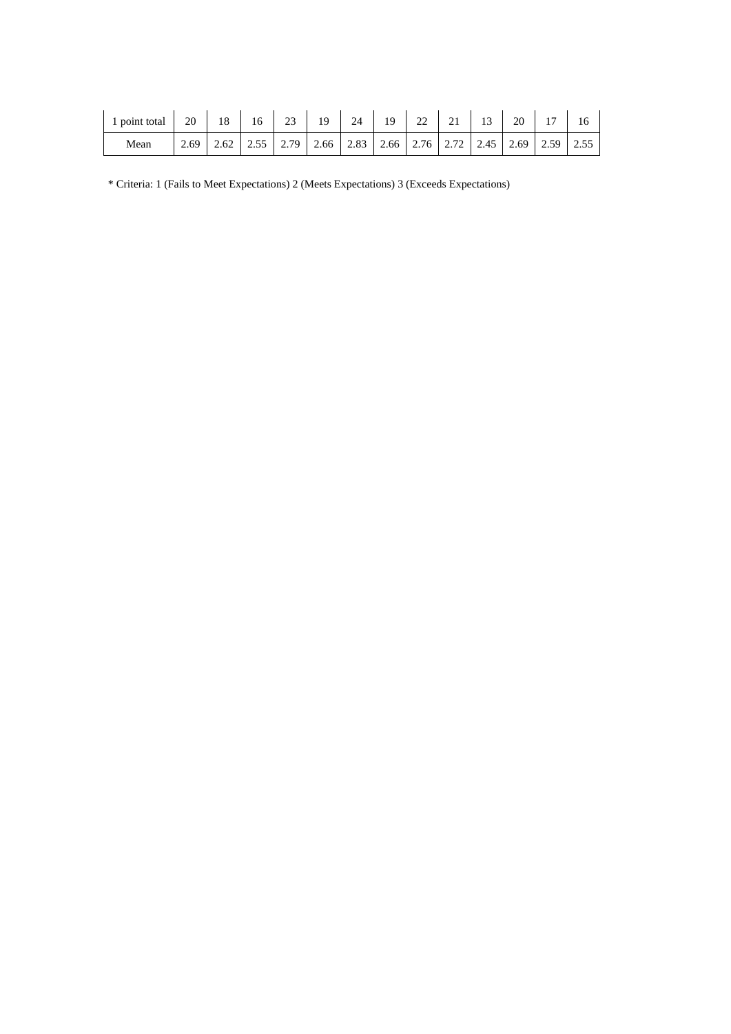| 1 point total | 20   | 18 | 16 | 23                                                                         | 19 | 24 | 19 | 22 | 21 | 13 | 20 | 17 |  |
|---------------|------|----|----|----------------------------------------------------------------------------|----|----|----|----|----|----|----|----|--|
| Mean          | 2.69 |    |    | 2.55   2.79   2.66   2.83   2.66   2.76   2.72   2.45   2.69   2.59   2.55 |    |    |    |    |    |    |    |    |  |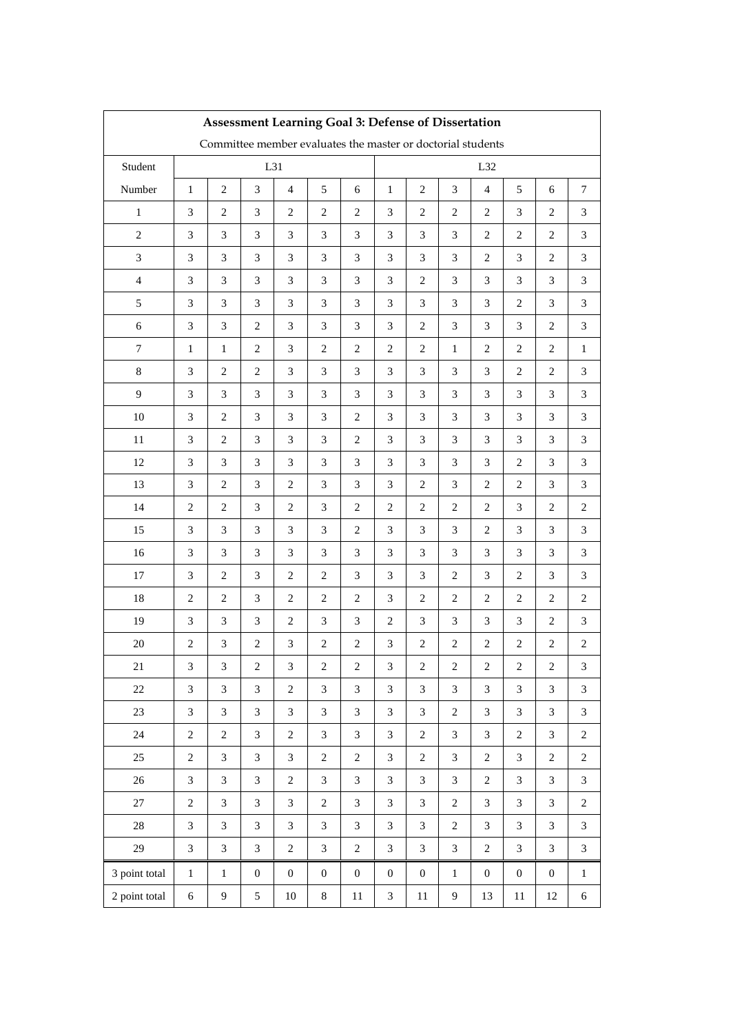| Assessment Learning Goal 3: Defense of Dissertation         |                  |                             |                  |                             |                  |                             |                  |                         |                  |                  |                  |                         |                             |
|-------------------------------------------------------------|------------------|-----------------------------|------------------|-----------------------------|------------------|-----------------------------|------------------|-------------------------|------------------|------------------|------------------|-------------------------|-----------------------------|
| Committee member evaluates the master or doctorial students |                  |                             |                  |                             |                  |                             |                  |                         |                  |                  |                  |                         |                             |
| Student                                                     |                  |                             |                  | L31                         |                  |                             |                  |                         |                  | L32              |                  |                         |                             |
| Number                                                      | $\mathbf{1}$     | $\sqrt{2}$                  | 3                | $\overline{4}$              | 5                | 6                           | $\mathbf{1}$     | $\overline{c}$          | 3                | $\overline{4}$   | 5                | 6                       | $\tau$                      |
| $\mathbf{1}$                                                | 3                | $\sqrt{2}$                  | 3                | $\sqrt{2}$                  | $\overline{c}$   | $\boldsymbol{2}$            | 3                | $\overline{c}$          | $\mathbf{2}$     | $\overline{c}$   | 3                | $\overline{c}$          | 3                           |
| $\sqrt{2}$                                                  | $\mathfrak{Z}$   | 3                           | $\mathfrak{Z}$   | 3                           | 3                | 3                           | $\mathfrak{Z}$   | 3                       | 3                | 2                | 2                | 2                       | 3                           |
| $\mathfrak{Z}$                                              | $\mathfrak{Z}$   | $\ensuremath{\mathfrak{Z}}$ | $\mathfrak{Z}$   | $\ensuremath{\mathfrak{Z}}$ | $\mathfrak{Z}$   | $\ensuremath{\mathfrak{Z}}$ | $\mathfrak{Z}$   | $\mathfrak{Z}$          | 3                | $\overline{c}$   | $\mathfrak{Z}$   | $\boldsymbol{2}$        | 3                           |
| $\overline{4}$                                              | 3                | 3                           | 3                | 3                           | 3                | 3                           | 3                | $\overline{c}$          | 3                | 3                | 3                | 3                       | 3                           |
| $\sqrt{5}$                                                  | 3                | $\ensuremath{\mathfrak{Z}}$ | 3                | $\ensuremath{\mathfrak{Z}}$ | 3                | $\ensuremath{\mathfrak{Z}}$ | 3                | $\mathfrak{Z}$          | 3                | $\mathfrak{Z}$   | $\mathbf{2}$     | 3                       | 3                           |
| $\sqrt{6}$                                                  | $\mathfrak{Z}$   | $\mathfrak{Z}$              | $\sqrt{2}$       | $\ensuremath{\mathfrak{Z}}$ | $\mathfrak{Z}$   | $\mathfrak{Z}$              | 3                | $\sqrt{2}$              | $\mathfrak{Z}$   | $\mathfrak{Z}$   | 3                | $\boldsymbol{2}$        | $\boldsymbol{\mathfrak{Z}}$ |
| $\boldsymbol{7}$                                            | $\mathbf{1}$     | $\mathbf{1}$                | $\sqrt{2}$       | $\sqrt{3}$                  | $\sqrt{2}$       | $\sqrt{2}$                  | $\sqrt{2}$       | $\sqrt{2}$              | $\mathbf{1}$     | $\overline{c}$   | $\mathbf{2}$     | $\boldsymbol{2}$        | 1                           |
| $8\,$                                                       | $\mathfrak{Z}$   | $\sqrt{2}$                  | $\sqrt{2}$       | $\ensuremath{\mathfrak{Z}}$ | $\mathfrak{Z}$   | $\ensuremath{\mathfrak{Z}}$ | $\mathfrak{Z}$   | $\mathfrak{Z}$          | $\mathfrak{Z}$   | $\mathfrak{Z}$   | $\overline{2}$   | $\boldsymbol{2}$        | 3                           |
| $\overline{9}$                                              | $\mathfrak{Z}$   | $\mathfrak{Z}$              | 3                | $\ensuremath{\mathfrak{Z}}$ | 3                | $\ensuremath{\mathfrak{Z}}$ | 3                | $\mathfrak{Z}$          | 3                | $\mathfrak{Z}$   | 3                | 3                       | 3                           |
| $10\,$                                                      | 3                | $\sqrt{2}$                  | 3                | $\ensuremath{\mathfrak{Z}}$ | 3                | $\sqrt{2}$                  | 3                | $\mathfrak{Z}$          | $\overline{3}$   | $\mathfrak{Z}$   | $\mathfrak{Z}$   | 3                       | 3                           |
| $11\,$                                                      | 3                | $\sqrt{2}$                  | 3                | $\ensuremath{\mathfrak{Z}}$ | 3                | $\boldsymbol{2}$            | 3                | 3                       | 3                | 3                | 3                | 3                       | 3                           |
| 12                                                          | $\mathfrak{Z}$   | $\ensuremath{\mathfrak{Z}}$ | $\mathfrak{Z}$   | $\ensuremath{\mathfrak{Z}}$ | $\mathfrak{Z}$   | $\ensuremath{\mathfrak{Z}}$ | 3                | $\mathfrak{Z}$          | 3                | $\mathfrak{Z}$   | $\sqrt{2}$       | $\mathfrak{Z}$          | $\ensuremath{\mathfrak{Z}}$ |
| 13                                                          | $\mathfrak{Z}$   | $\sqrt{2}$                  | $\mathfrak{Z}$   | $\sqrt{2}$                  | $\mathfrak{Z}$   | $\mathfrak{Z}$              | 3                | $\overline{c}$          | 3                | $\overline{c}$   | $\overline{2}$   | 3                       | 3                           |
| 14                                                          | $\overline{c}$   | $\boldsymbol{2}$            | $\mathfrak{Z}$   | $\overline{c}$              | $\mathfrak{Z}$   | $\boldsymbol{2}$            | $\mathbf{2}$     | $\overline{c}$          | $\mathbf{2}$     | 2                | 3                | $\overline{c}$          | $\overline{2}$              |
| 15                                                          | $\mathfrak{Z}$   | 3                           | $\mathfrak{Z}$   | 3                           | $\mathfrak{Z}$   | $\boldsymbol{2}$            | 3                | 3                       | 3                | $\overline{c}$   | 3                | 3                       | 3                           |
| 16                                                          | 3                | 3                           | 3                | $\ensuremath{\mathfrak{Z}}$ | 3                | 3                           | 3                | $\mathfrak{Z}$          | 3                | $\mathfrak{Z}$   | 3                | 3                       | 3                           |
| $17\,$                                                      | 3                | $\sqrt{2}$                  | 3                | $\sqrt{2}$                  | $\overline{c}$   | 3                           | 3                | $\mathfrak{Z}$          | $\mathbf{2}$     | $\mathfrak{Z}$   | $\mathbf{2}$     | 3                       | 3                           |
| $18\,$                                                      | $\boldsymbol{2}$ | $\sqrt{2}$                  | 3                | $\sqrt{2}$                  | $\boldsymbol{2}$ | $\sqrt{2}$                  | $\mathfrak{Z}$   | $\sqrt{2}$              | $\sqrt{2}$       | $\overline{c}$   | $\mathbf{2}$     | $\boldsymbol{2}$        | $\overline{2}$              |
| 19                                                          | $\mathfrak{Z}$   | $\mathfrak{Z}$              | $\mathfrak{Z}$   | $\sqrt{2}$                  | $\mathfrak{Z}$   | $\mathfrak{Z}$              | $\overline{c}$   | $\mathfrak{Z}$          | 3                | $\mathfrak{Z}$   | 3                | $\boldsymbol{2}$        | $\boldsymbol{\mathfrak{Z}}$ |
| $20\,$                                                      | $\,2$            | 3                           | $\mathbf{2}$     | $\ensuremath{\mathfrak{Z}}$ | $\boldsymbol{2}$ | $\boldsymbol{2}$            | 3                | $\overline{c}$          | $\overline{c}$   | $\boldsymbol{2}$ | $\overline{c}$   | $\overline{c}$          | $\overline{c}$              |
| 21                                                          | 3                | $\mathfrak{Z}$              | $\boldsymbol{2}$ | $\ensuremath{\mathfrak{Z}}$ | $\sqrt{2}$       | $\boldsymbol{2}$            | $\mathfrak{Z}$   | $\overline{\mathbf{c}}$ | $\boldsymbol{2}$ | $\sqrt{2}$       | $\sqrt{2}$       | $\overline{\mathbf{c}}$ | 3                           |
| $22\,$                                                      | 3                | 3                           | $\mathfrak{Z}$   | $\sqrt{2}$                  | 3                | $\mathfrak{Z}$              | $\overline{3}$   | $\mathfrak{Z}$          | 3                | 3                | $\mathfrak{Z}$   | $\mathfrak{Z}$          | $\mathfrak{Z}$              |
| $23\,$                                                      | 3                | 3                           | $\mathfrak{Z}$   | $\mathfrak{Z}$              | $\mathfrak{Z}$   | $\mathfrak{Z}$              | 3                | $\mathfrak{Z}$          | $\overline{2}$   | $\mathfrak{Z}$   | 3                | $\mathfrak{Z}$          | $\boldsymbol{\mathfrak{Z}}$ |
| $24\,$                                                      | $\sqrt{2}$       | $\sqrt{2}$                  | $\mathfrak{Z}$   | $\sqrt{2}$                  | $\mathfrak{Z}$   | $\mathfrak{Z}$              | $\mathfrak{Z}$   | $\overline{c}$          | 3                | 3                | $\sqrt{2}$       | $\mathfrak{Z}$          | $\sqrt{2}$                  |
| $25\,$                                                      | $\boldsymbol{2}$ | 3                           | $\mathfrak{Z}$   | $\mathfrak{Z}$              | $\sqrt{2}$       | $\sqrt{2}$                  | 3                | $\overline{c}$          | 3                | $\overline{c}$   | 3                | $\,2$                   | $\sqrt{2}$                  |
| $26\,$                                                      | $\mathfrak{Z}$   | $\mathfrak{Z}$              | $\mathfrak{Z}$   | $\sqrt{2}$                  | $\mathfrak{Z}$   | $\mathfrak{Z}$              | 3                | $\mathfrak{Z}$          | $\mathfrak{Z}$   | $\overline{c}$   | $\mathfrak{Z}$   | 3                       | $\mathfrak{Z}$              |
| 27                                                          | $\boldsymbol{2}$ | 3                           | $\mathfrak{Z}$   | 3                           | $\boldsymbol{2}$ | $\mathfrak{Z}$              | 3                | $\mathfrak{Z}$          | $\overline{c}$   | 3                | $\mathfrak{Z}$   | $\mathfrak{Z}$          | $\boldsymbol{2}$            |
| $28\,$                                                      | 3                | 3                           | $\mathfrak{Z}$   | $\ensuremath{\mathfrak{Z}}$ | $\mathfrak{Z}$   | $\mathfrak{Z}$              | 3                | $\mathfrak{Z}$          | $\boldsymbol{2}$ | 3                | 3                | $\mathfrak{Z}$          | $\mathfrak{Z}$              |
| 29                                                          | $\mathfrak{Z}$   | 3                           | $\mathfrak{Z}$   | $\sqrt{2}$                  | $\mathfrak{Z}$   | $\overline{c}$              | $\mathfrak{Z}$   | $\mathfrak{Z}$          | $\mathfrak{Z}$   | $\overline{c}$   | $\mathfrak{Z}$   | $\mathfrak{Z}$          | $\mathfrak{Z}$              |
| 3 point total                                               | $\,1$            | $\,1$                       | $\boldsymbol{0}$ | $\boldsymbol{0}$            | $\boldsymbol{0}$ | $\boldsymbol{0}$            | $\boldsymbol{0}$ | $\boldsymbol{0}$        | $\mathbf 1$      | $\boldsymbol{0}$ | $\boldsymbol{0}$ | $\boldsymbol{0}$        | $\mathbf{1}$                |
| 2 point total                                               | 6                | $\mathbf{9}$                | 5                | $10\,$                      | $8\,$            | 11                          | $\mathfrak{Z}$   | 11                      | $\overline{9}$   | 13               | 11               | 12                      | $\sqrt{6}$                  |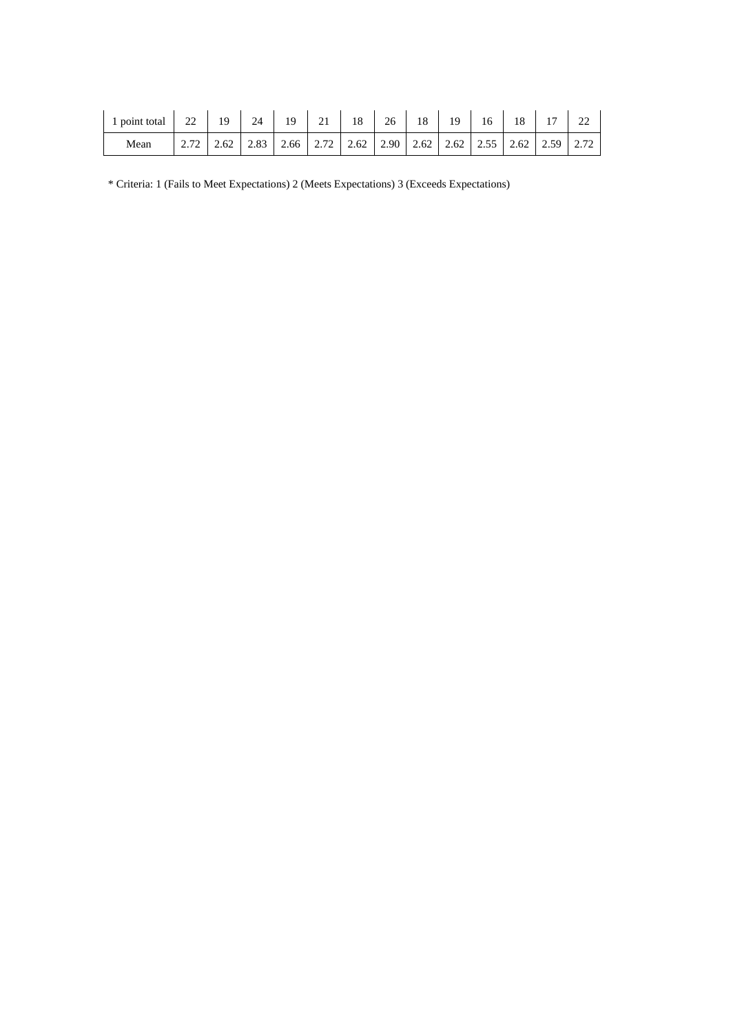| point total | 22<br>∠∠ | 19   | 24   | 19   | 21   | 18    | 26 | 18                              | 10 | 16 | 18 | 1 <sub>7</sub>                           | $\sim$ |
|-------------|----------|------|------|------|------|-------|----|---------------------------------|----|----|----|------------------------------------------|--------|
| Mean        | 2.IZ     | 2.62 | 2.83 | 2.66 | 2.72 | 12.62 |    | $2.90 \mid 2.62 \mid 2.62 \mid$ |    |    |    | $\vert 2.55 \vert 2.62 \vert 2.59 \vert$ | 2.72   |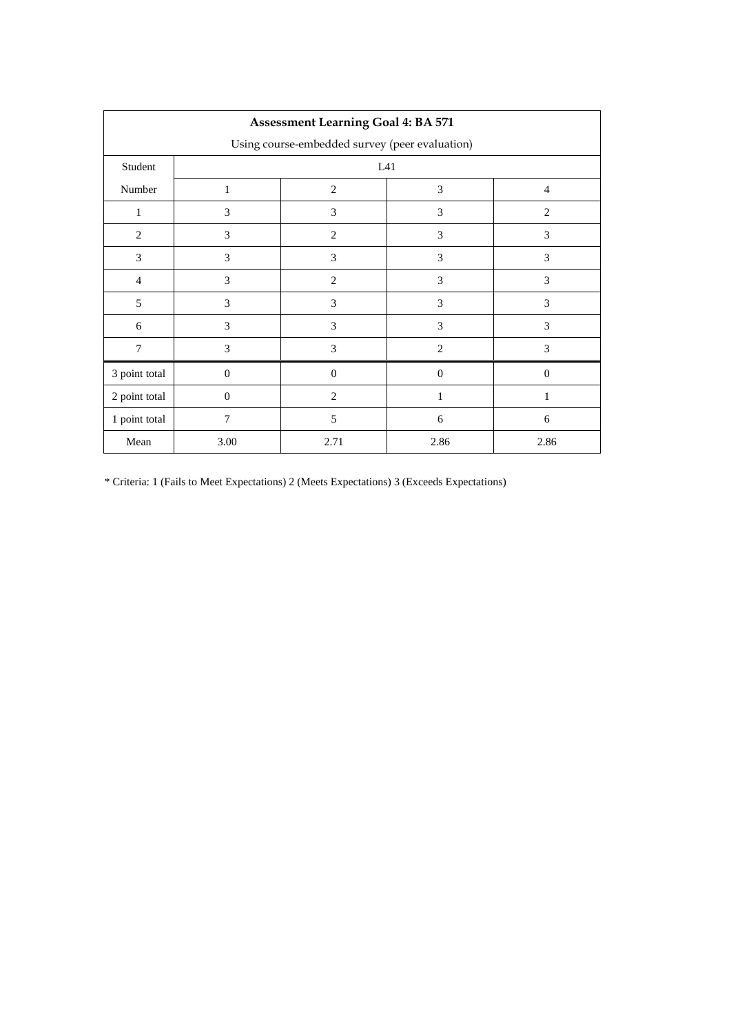| <b>Assessment Learning Goal 4: BA 571</b>      |                |                |                |                |  |  |  |  |  |  |
|------------------------------------------------|----------------|----------------|----------------|----------------|--|--|--|--|--|--|
| Using course-embedded survey (peer evaluation) |                |                |                |                |  |  |  |  |  |  |
| Student                                        |                | L41            |                |                |  |  |  |  |  |  |
| Number                                         | $\mathbf{1}$   | $\overline{2}$ | 3              | $\overline{4}$ |  |  |  |  |  |  |
| 1                                              | 3              | 3              | 3              | 2              |  |  |  |  |  |  |
| $\overline{2}$                                 | 3              | $\overline{2}$ | 3              | 3              |  |  |  |  |  |  |
| 3                                              | 3              | 3              | 3              | 3              |  |  |  |  |  |  |
| $\overline{4}$                                 | 3              | $\overline{2}$ | 3              | 3              |  |  |  |  |  |  |
| 5                                              | 3              | 3              | 3              | 3              |  |  |  |  |  |  |
| 6                                              | 3              | 3              | 3              | 3              |  |  |  |  |  |  |
| $\overline{7}$                                 | 3              | 3              | $\overline{c}$ | 3              |  |  |  |  |  |  |
| 3 point total                                  | $\theta$       | $\theta$       | $\mathbf{0}$   | $\theta$       |  |  |  |  |  |  |
| 2 point total                                  | $\theta$       | $\overline{2}$ | 1              | 1              |  |  |  |  |  |  |
| 1 point total                                  | $\overline{7}$ | 5              | 6              | 6              |  |  |  |  |  |  |
| Mean                                           | 3.00           | 2.71           | 2.86           | 2.86           |  |  |  |  |  |  |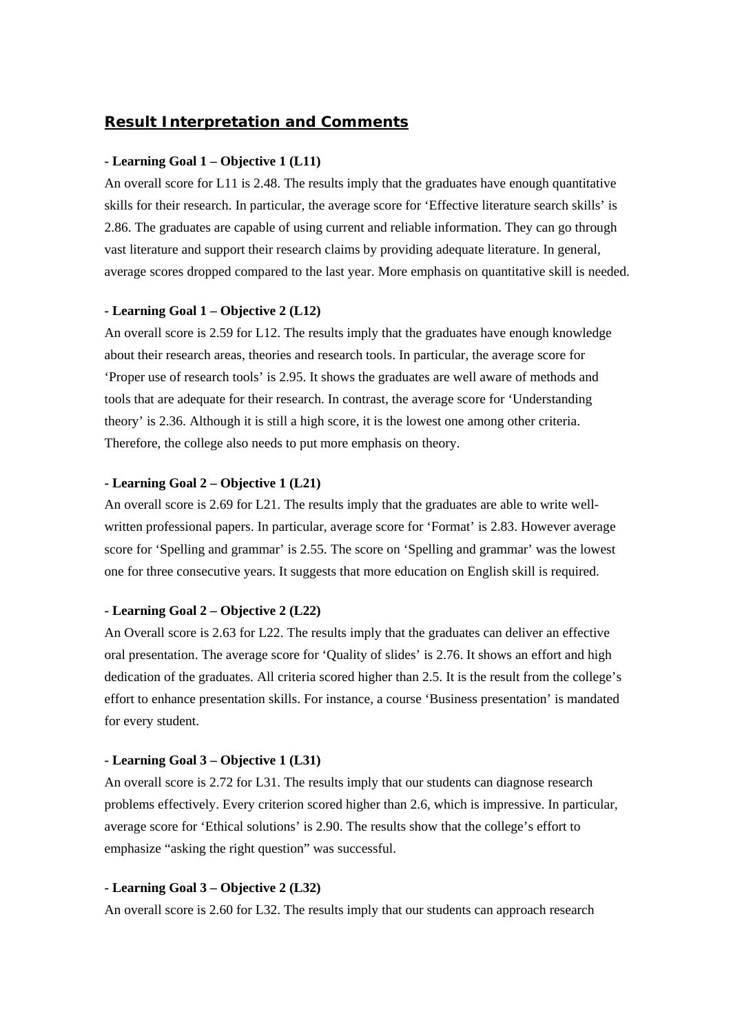## *Result Interpretation and Comments*

#### **- Learning Goal 1 – Objective 1 (L11)**

An overall score for L11 is 2.48. The results imply that the graduates have enough quantitative skills for their research. In particular, the average score for 'Effective literature search skills' is 2.86. The graduates are capable of using current and reliable information. They can go through vast literature and support their research claims by providing adequate literature. In general, average scores dropped compared to the last year. More emphasis on quantitative skill is needed.

## **- Learning Goal 1 – Objective 2 (L12)**

An overall score is 2.59 for L12. The results imply that the graduates have enough knowledge about their research areas, theories and research tools. In particular, the average score for 'Proper use of research tools' is 2.95. It shows the graduates are well aware of methods and tools that are adequate for their research. In contrast, the average score for 'Understanding theory' is 2.36. Although it is still a high score, it is the lowest one among other criteria. Therefore, the college also needs to put more emphasis on theory.

#### **- Learning Goal 2 – Objective 1 (L21)**

An overall score is 2.69 for L21. The results imply that the graduates are able to write wellwritten professional papers. In particular, average score for 'Format' is 2.83. However average score for 'Spelling and grammar' is 2.55. The score on 'Spelling and grammar' was the lowest one for three consecutive years. It suggests that more education on English skill is required.

#### **- Learning Goal 2 – Objective 2 (L22)**

An Overall score is 2.63 for L22. The results imply that the graduates can deliver an effective oral presentation. The average score for 'Quality of slides' is 2.76. It shows an effort and high dedication of the graduates. All criteria scored higher than 2.5. It is the result from the college's effort to enhance presentation skills. For instance, a course 'Business presentation' is mandated for every student.

#### **- Learning Goal 3 – Objective 1 (L31)**

An overall score is 2.72 for L31. The results imply that our students can diagnose research problems effectively. Every criterion scored higher than 2.6, which is impressive. In particular, average score for 'Ethical solutions' is 2.90. The results show that the college's effort to emphasize "asking the right question" was successful.

#### **- Learning Goal 3 – Objective 2 (L32)**

An overall score is 2.60 for L32. The results imply that our students can approach research